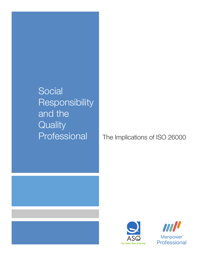Social **Responsibility** and the **Quality** 

Professional The Implications of ISO 26000



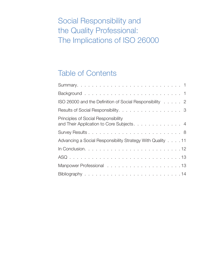# Social Responsibility and the Quality Professional: The Implications of ISO 26000

# Table of Contents

| ISO 26000 and the Definition of Social Responsibility 2                          |
|----------------------------------------------------------------------------------|
| Results of Social Responsibility. 3                                              |
| Principles of Social Responsibility<br>and Their Application to Core Subjects. 4 |
|                                                                                  |
| Advancing a Social Responsibility Strategy With Quality 11                       |
|                                                                                  |
|                                                                                  |
|                                                                                  |
|                                                                                  |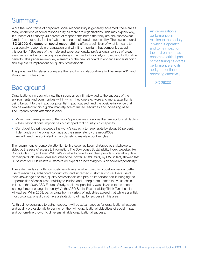## **Summary**

While the importance of corporate social responsibility is generally accepted, there are as many definitions of social responsibility as there are organizations. This may explain why, in a recent ASQ survey, 40 percent of respondents noted that they are only "somewhat familiar" or "not really familiar" with the concept of social responsibility. The new standard ISO 26000: Guidance on social responsibility offers a definition of what it means to be a socially responsible organization and why it is important that companies adopt this position. 1 Because of their role and expertise, quality professionals can be of great assistance in advancing a corporate strategy that has both socially-focused and bottom-line benefits. This paper reviews key elements of the new standard to enhance understanding and explore its implications for quality professionals.

This paper and its related survey are the result of a collaborative effort between ASQ and Manpower Professional.

### **Background**

Organizations increasingly view their success as intimately tied to the success of the environments and communities within which they operate. More and more, attention is being brought to the impact or potential impact caused, and the positive influence that can be exerted within a global marketplace of limited resources and increasing need. The urgency of this attention is clear.

- More than three-quarters of the world's people live in nations that are ecological debtors - their national consumption has outstripped that country's biocapacity.<sup>2</sup>
- Our global footprint exceeds the world's capacity to regenerate by about 30 percent. If demands on the planet continue at the same rate, by the mid-2030s we will need the equivalent of two planets to maintain our lifestyles.<sup>2</sup>

The requirement for corporate attention to this issue has been reinforced by stakeholders, aided by the ease of access to information. The Dow Jones Sustainability Index, websites like GoodGuide.com, and even Walmart's initiative to have its suppliers provide sustainability data on their products<sup>3</sup> have increased stakeholder power. A 2010 study by IBM, in fact, showed that 83 percent of CEOs believe customers will expect an increasing focus on social responsibility. 4

These demands can offer competitive advantage when used to propel innovation, better use of resources, enhanced productivity, and increased customer choice. Because of their knowledge and role, quality professionals can play an important part in bringing the opportunities of social responsibility to fruition and driving them across the value chain. In fact, in the 2008 ASQ Futures Study, social responsibility was elevated to the second leading force of change in quality.<sup>5</sup> At the ASQ Social Responsibility Think Tank held in Milwaukee, WI in 2009, participants from a variety of industries agreed that while essential, most organizations did not have a strategic roadmap for success in this area.

As this drive continues to gather speed, it will be advantageous for organizational leaders and quality professionals to partner on the twin organizational objectives of social impact and bottom-line growth to drive sustainable organizational success.

An organization's performance in relation to the society in which it operates and to its impact on the environment has become a critical part of measuring its overall performance and its ability to continue operating effectively.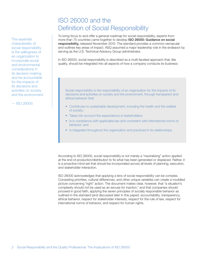## ISO 26000 and the Definition of Social Responsibility

To bring focus to and offer a general roadmap for social responsibility, experts from more than 75 countries came together to develop ISO 26000: Guidance on social responsibility, released November 2010. The standard provides a common vernacular and outlines key areas of impact. ASQ assumed a major leadership role in the endeavor by serving as the U.S. Technical Advisory Group administrator.

In ISO 26000, social responsibility is described as a multi-faceted approach that, like quality, should be integrated into all aspects of how a company conducts its business:

Social responsibility is the responsibility of an organization for the impacts of its decisions and activities on society and the environment, through transparent and ethical behavior that:

- Contributes to sustainable development, including the health and the welfare of society;
- Takes into account the expectations of stakeholders;
- Is in compliance with applicable law and consistent with international norms of behavior; and
- Is integrated throughout the organization and practiced in its relationships.

According to ISO 26000, social responsibility is not merely a "neutralizing" action applied at the end of production/distribution to fix what has been generated or displaced. Rather, it is a proactive mind-set that should be incorporated across all levels of planning, execution, and stakeholder interaction.

ISO 26000 acknowledges that applying a lens of social responsibility can be complex. Competing priorities, cultural differences, and other unique variables can create a muddied picture concerning "right" action. The document makes clear, however, that "a situation's complexity should not be used as an excuse for inaction," and that companies should proceed in good faith, applying the seven principles of socially responsible behavior as outlined in the standard (and discussed later in this paper): accountability, transparency, ethical behavior, respect for stakeholder interests, respect for the rule of law, respect for international norms of behavior, and respect for human rights.

The essential characteristic of social responsibility is the willingness of an organization to incorporate social and environmental considerations in its decision-making and be accountable for the impacts of its decisions and activities on society and the environment.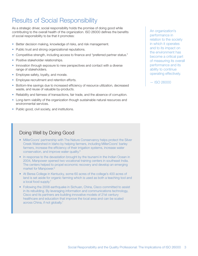## Results of Social Responsibility

As a strategic driver, social responsibility holds the promise of doing good while contributing to the overall health of the organization. ISO 26000 defines the benefits of social responsibility to be that it promotes:

- Better decision making, knowledge of risks, and risk management.
- Public trust and strong organizational reputations.
- Competitive strength, including access to finance and "preferred partner status."
- Positive stakeholder relationships.
- Innovation through exposure to new perspectives and contact with a diverse range of stakeholders.
- Employee safety, loyalty, and morale.
- Employee recruitment and retention efforts.
- Bottom-line savings due to increased efficiency of resource utilization, decreased waste, and reuse of valuable by-products.
- Reliability and fairness of transactions, fair trade, and the absence of corruption.
- Long-term viability of the organization though sustainable natural resources and environmental services.
- Public good, civil society, and institutions.

### Doing Well by Doing Good

- MillerCoors' partnership with The Nature Conservancy helps protect the Silver Creek Watershed in Idaho by helping farmers, including MillerCoors' barley farmers, increase the efficiency of their irrigation systems, increase water conservation, and improve water quality. 6
- In response to the devastation brought by the tsunami in the Indian Ocean in 2004, Manpower opened two vocational training centers in southeast India. The centers helped to propel economic recovery and develop an emerging market for Manpower. 6
- At Berea College in Kentucky, some 60 acres of the college's 400 acres of land is set aside for organic farming which is used as both a teaching tool and a local food supply. 7
- Following the 2008 earthquake in Sichuan, China, Cisco committed to assist in its rebuilding. By leveraging information and communications technology, Cisco and its partners are building innovative models of 21st century healthcare and education that improve the local area and can be scaled across China, if not globally. 7

An organization's performance in relation to the society in which it operates and to its impact on the environment has become a critical part of measuring its overall performance and its ability to continue operating effectively.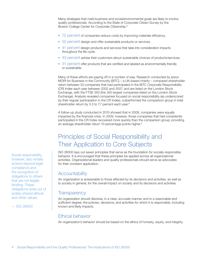Many strategies that meld business and social/environmental goals are likely to involve quality professionals. According to the State of Corporate Citizen Survey by the Boston College Center for Corporate Citizenship. 8

- 72 percent of companies reduce costs by improving materials efficiency.
- 52 percent design and offer sustainable products or services.
- 41 percent design products and services that take into consideration impacts throughout the life cycle.
- 43 percent advise their customers about sustainable choices of products/services.
- 31 percent offer products that are certified and labeled as environmentally friendly or sustainable.

Many of these efforts are paying off in a number of way. Research conducted by Ipsos MORI for Business in the Community (BITC) – a UK-based charity – compared shareholder return between 33 companies that had participated in the BITC Corporate Responsibility (CR) Index each year between 2002 and 2007, and are listed on the London Stock Exchange, with the FTSE 350 (the 350 largest companies listed on the London Stock Exchange). Analysis revealed companies focused on social responsibility (as underscored by their regular participation in the CR Index), outperformed the comparison group in total shareholder return by 3.3 to 7.7 percent each year.<sup>9</sup>

A follow-up study conducted in 2010 showed that in 2008, companies were equally impacted by the financial crisis. In 2009, however, those companies that had consistently participated in the CR Index recovered more quickly than the comparison group, providing an average shareholder return 10 percentage points higher. 9

### Principles of Social Responsibility and Their Application to Core Subjects

ISO 26000 lays out seven principles that serve as the foundation for socially responsible behavior. It is encouraged that these principles be applied across all organizational activities. Organizational leaders and quality professionals should serve as advocates for their constant application.

#### **Accountability**

An organization is answerable to those affected by its decisions and activities, as well as to society in general, for the overall impact on society and its decisions and activities.

#### **Transparency**

An organization should disclose, in a clear, accurate manner and to a reasonable and sufficient degree, the policies, decisions, and activities for which it is responsible, including known and likely impacts.

#### Ethical behavior

An organization's behavior should be based on the ethics of honesty, equity, and integrity.

Social responsibility, however, also entails actions beyond legal compliance and the recognition of obligations to others that are not legally binding. These obligations arise out of widely shared ethical and other values.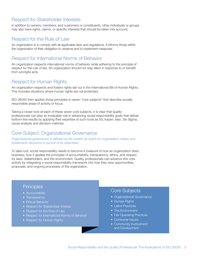#### Respect for Stakeholder Interests

In addition to owners, members, and customers or constituents, other individuals or groups may also have rights, claims, or specific interests that should be taken into account.

#### Respect for the Rule of Law

An organization is to comply with all applicable laws and regulations.It informs those within the organization of their obligation to observe and to implement measures.

#### Respect for International Norms of Behavior

An organization respects international norms of behavior while adhering to the principle of respect for the rule of law. An organization should not stay silent in response to or benefit from wrongful acts.

#### Respect for Human Rights

An organization respects and fosters rights set out in the International Bill of Human Rights. This includes situations where human rights are not protected.

ISO 26000 then applies those principles to seven "core subjects" that describe socially responsible areas of activity or focus.

Taking a closer look at each of these seven core subjects, it is clear that quality professionals can play an invaluable role in advancing social responsibility goals that deliver bottom-line results by applying their expertise of such tools as 5S, kaizen, lean, Six Sigma, cause analysis and decision matrices.

#### Core Subject: Organizational Governance

*Organizational governance is defined as the system by which an organization makes and implements decisions in pursuit of its objectives.1*

To take root, social responsibility needs to become a measure of how an organization does business, how it applies the principles of accountability, transparency, ethics, and respect for laws, stakeholders, and the environment. Quality professionals can advance this core activity by integrating a social responsibility framework into how they view opportunities, proposals, and ongoing processes of the organization.

#### **Principles**

- Accountability
- Transparency
- Ethical Behavior
- Respect for Stakeholder Interest
- Respect for the Rule of Law
- Respect for International Norms of Behavior
- Respect for Human Rights

#### Core Subjects

- Organizational Governance
- Human Rights
- Labor Practices
- The Environment
- Fair Operating Practices
- Consumer Issues
- Community Involvement and Development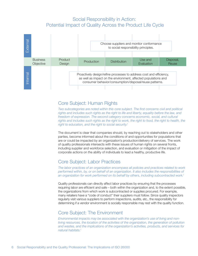#### Social Responsibility in Action: Potential Impact of Quality Across the Product Life Cycle



#### Core Subject: Human Rights

*Two subcategories are noted within this core subject. The first concerns civil and political rights and includes such rights as the right to life and liberty, equality before the law, and freedom of expression. The second category concerns economic, social, and cultural*  rights and includes such rights as the right to work, the right to food, the right to health, the *right to education, and the right to social security.1*

The document is clear that companies should, by reaching out to stakeholders and other parties, become informed about the conditions of and opportunities for populations that are or could be impacted by an organization's production/delivery of services. The work of quality professionals intersects with these issues of human rights on several fronts, including supplier and workforce selection, and evaluation or mitigation of the impact of corporate actions on the ability of individuals to lead a healthy, productive life.

#### Core Subject: Labor Practices

*The labor practices of an organization encompass all policies and practices related to work performed within, by, or on behalf of an organization. It also includes the responsibilities of an organization for work performed on its behalf by others, including subcontracted work.1*

Quality professionals can directly affect labor practices by ensuring that the processes requiring labor are efficient and safe – both within the organization and, to the extent possible, the organizations from which work is subcontracted or supplies procured.For example, many retailers have a "code of conduct" their suppliers must follow.Since quality inspectors regularly visit various suppliers to perform inspections, audits, etc., the responsibility for determining if a vendor environment is socially responsible may rest with the quality function.

#### Core Subject: The Environment

*Environmental impacts may be associated with the organization's use of living and nonliving resources, the location of the activities of the organization, the generation of pollution and wastes, and the implications of the organization's activities, products, and services for natural habitats.1*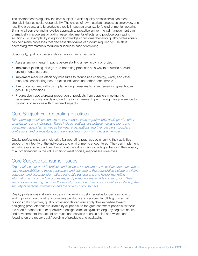The environment is arguably the core subject in which quality professionals can most strongly influence social responsibility. The choice of raw materials, processes employed, and resulting products and byproducts directly impact an organization's environmental footprint. Bringing a keen eye and innovative approach to proactive environmental management can dramatically improve sustainability, lessen detrimental effects, and produce cost-saving solutions. For example, by integrating knowledge of customer behavior quality professionals can help refine processes that decrease the volume of product required for use (thus decreasing raw materials required) or increase ease of recycling.

Specifically, quality professionals can apply their expertise to:

- Assess environmental impacts before starting a new activity or project.
- Implement planning, design, and operating practices as a way to minimize possible environmental burdens.
- Implement resource efficiency measures to reduce use of energy, water, and other resources considering best-practice indicators and other benchmarks.
- Aim for carbon neutrality by implementing measures to offset remaining greenhouse gas (GHG) emissions.
- Progressively use a greater proportion of products from suppliers meeting the requirements of standards and certification schemes. In purchasing, give preference to products or services with minimized impacts.

### Core Subject: Fair Operating Practices

*Fair operating practices concern ethical conduct in an organization's dealings with other organizations and individuals. These include relationships between organizations and government agencies, as well as between organizations and their partners, suppliers, contractors, and competitors, and the associations of which they are members.1*

Quality professionals can help drive fair operating practices by ensuring their activities support the integrity of the individuals and environments encountered. They can implement socially responsible practices throughout the value chain, including enhancing the capacity of all organizations in the value chain to meet socially responsible objectives.

#### Core Subject: Consumer Issues

*Organizations that provide projects and services to consumers, as well as other customers, have responsibilities to those consumers and customers. Responsibilities include providing education and accurate information, using fair, transparent, and helpful marketing information and contractual processes, and promoting sustainable consumption. They also involve minimizing risk from the use of products and services, as well as protecting the security of personal information and the privacy of consumers.1*

Quality professionals already focus on maximizing customer value by decreasing error and improving functionality of company products and services. In fulfilling this social responsibility objective, quality professionals can also apply their expertise toward designing products that are usable by all people, to the greatest extent possible, without the need for adaptation or specialized design; eliminating/minimizing any negative health and environmental impacts of products and services such as noise and waste; and focusing on the reuse/repair/recycling of products and packaging.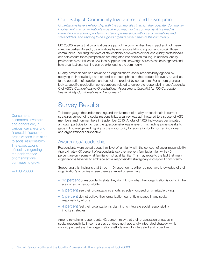### Core Subject: Community Involvement and Development

*Organizations have a relationship with the communities in which they operate. Community involvement is an organization's proactive outreach to the community. It is aimed at preventing and solving problems, fostering partnerships with local organizations and stakeholders, and aspiring to be a good organizational citizen of the community.1*

ISO 26000 asserts that organizations are part of the communities they impact and not merely objective parties.As such, organizations have a responsibility to support and sustain those communities. Including the voice of stakeholders is viewed as critical, and quality professionals can help ensure those perspectives are integrated into decision making. In addition, quality professionals can influence how local suppliers and knowledge sources can be integrated and how organizational learning can be extended to the community.

Quality professionals can advance an organization's social responsibility agenda by applying their knowledge and expertise to each phase of the product life cycle, as well as to the operation of suppliers and use of the product by consumers. For a more granular look at specific production considerations related to corporate responsibility, see Appendix C of ASQ's *Comprehensive Organizational Assessment: Checklist for 100 Corporate Sustainability Considerations to Benchmark.*<sup>7</sup>

## Survey Results

To better gauge the understanding and involvement of quality professionals in current strategies surrounding social responsibility, a survey was administered to a subset of ASQ members and nonmembers in September 2010. A total of 1,027 individuals participated, although participation across the questionnaire was uneven. This finding alone speaks to gaps in knowledge and highlights the opportunity for education both from an individual and organizational perspective.

#### Awareness/Leadership

Respondents were asked about their level of familiarity with the concept of social responsibility. Approximately 60 percent of respondents say they are very familiar/familiar, while 40 percent are only somewhat familiar or not at all familiar.This may relate to the fact that many organizations have yet to embrace social responsibility strategically and apply it consistently.

Supporting this finding is that three in 10 respondents either do not have knowledge of their organization's activities or see them as limited or emerging:

- 12 percent of respondents state they don't know what their organization is doing in the area of social responsibility.
- 9 percent see their organization's efforts as solely focused on charitable giving.
- 5 percent do not believe their organization currently engages in any social responsibility efforts.
- 4 percent feel their organization is planning to integrate social responsibility into its strategies.

Among remaining respondents, 42 percent relay that their organization engages in social responsibility in some areas but does not have a fully integrated strategy, while only 28 percent say their organization's efforts are fully integrated and proactive.

Consumers,

customers, investors and donors are, in various ways, exerting financial influence on organizations in relation to social responsibility. The expectations of society regarding the performance of organizations continues to grow.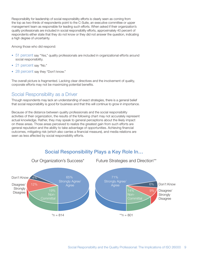Responsibility for leadership of social responsibility efforts is clearly seen as coming from the top as two-thirds of respondents point to the C-Suite, an executive committee or upper management team as responsible for leading such efforts.When asked if their organization's quality professionals are included in social responsibility efforts, approximately 40 percent of respondents either state that they do not know or they did not answer the question, indicating a high degree of uncertainty.

Among those who did respond:

- 51 percent say "Yes," quality professionals are included in organizational efforts around social responsibility.
- 21 percent say "No."
- 28 percent say they "Don't know."

The overall picture is fragmented. Lacking clear directives and the involvement of quality, corporate efforts may not be maximizing potential benefits.

### Social Responsibility as a Driver

Though respondents may lack an understanding of exact strategies, there is a general belief that social responsibility is good for business and that this will continue to grow in importance.

Because of the distance between quality professionals and the social responsibility activities of their organization, the results of the following chart may not accurately represent actual knowledge. Rather, they may speak to general perceptions about the likely impact on these areas. Those areas perceived to realize the greatest gain from such efforts are general reputation and the ability to take advantage of opportunities. Achieving financial outcomes, mitigating risk (which also carries a financial measure), and media relations are seen as less affected by social responsibility efforts.



### Social Responsibility Plays a Key Role In…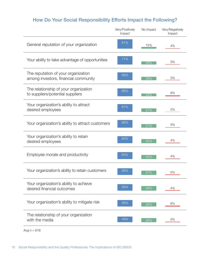### How Do Your Social Responsibility Efforts Impact the Following?

|                                                                             | Very/Positively<br>Impact | No Impact | Very/Negatively<br>Impact |
|-----------------------------------------------------------------------------|---------------------------|-----------|---------------------------|
| General reputation of your organization                                     | 81%                       | 15%       | 4%                        |
| Your ability to take advantage of opportunities                             | 71%                       | 26%       | 3%                        |
| The reputation of your organization<br>among investors, financial community | 68%                       | 29%       | 3%                        |
| The relationship of your organization<br>to suppliers/potential suppliers   | 68%                       | 24%       | 8%                        |
| Your organization's ability to attract<br>desired employees                 | 67%                       | 31%       | 2%                        |
| Your organization's ability to attract customers                            | 66%                       | 31%       | 3%                        |
| Your organization's ability to retain<br>desired employees                  | 60%                       | 35%       | 4%                        |
| Employee morale and productivity                                            | 60%                       | 35%       | 4%                        |
| Your organization's ability to retain customers                             | 58%                       | 37%       | 5%                        |
| Your organization's ability to achieve<br>desired financial outcomes        | 56%                       | 39%       | 4%                        |
| Your organization's ability to mitigate risk                                | 56%                       | 36%       | 8%                        |
| The relationship of your organization<br>with the media                     | 49%                       | 36%       | 5%                        |

Avg  $n = 616$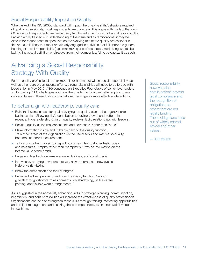### Social Responsibility Impact on Quality

When asked if the ISO 26000 standard will impact the ongoing skills/behaviors required of quality professionals, most respondents are uncertain. This aligns with the fact that only 60 percent of respondents are familiar/very familiar with the concept of social responsibility. Lacking a fully fleshed out understanding of the issue and its ramifications, it may be difficult for respondents to speculate on the evolving role of the quality professional in this arena. It is likely that most are already engaged in activities that fall under the general heading of social responsibility (e.g., maximizing use of resources, minimizing waste), but lacking the actual definition or directive from their companies, fail to categorize it as such.

## Advancing a Social Responsibility Strategy With Quality

For the quality professional to maximize his or her impact within social responsibility, as well as other core organizational efforts, strong relationships will need to be forged with leadership. In May 2010, ASQ convened an Executive Roundtable of senior-level leaders to discuss top CEO challenges and how the quality function can better support these critical initiatives. These findings can help set the stage for more effective interactions.

#### To better align with leadership, quality can:

- Build the business case for quality by tying the quality plan to the organization's business plan. Show quality's contribution to topline growth and bottom-line revenue. Have leadership sit in on quality reviews. Build relationships with leaders.
- Position quality as internal consultants and advocates, rather than "cops."
- Make information visible and utilizable beyond the quality function. Train other areas of the organization on the use of tools and metrics so quality becomes standard measurement.
- Tell a story, rather than simply report outcomes. Use customer testimonials and measures. Simplify rather than "complexify." Provide information on the lifetime value of the brand.
- Engage in feedback systems surveys, hotlines, and social media.
- Innovate by applying new perspectives, new patterns, and new cycles. Help drive risk-taking.
- Know the competition and their strengths.
- Promote the best people to and from the quality function. Support growth through short-term assignments, job shadowing, visible career pathing, and flexible work arrangements.

As is suggested in the above list, enhancing skills in strategic planning, communication, negotiation, and conflict resolution will increase the effectiveness of quality professionals. Organizations can help to strengthen these skills through training, mentoring opportunities and project management; and seeking these competencies, even if not well developed, in new hires.

Social responsibility, however, also entails actions beyond legal compliance and the recognition of obligations to others that are not legally binding. These obligations arise out of widely shared ethical and other values.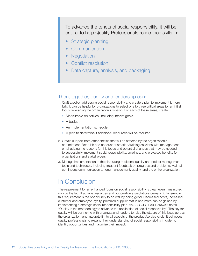To advance the tenets of social responsibility, it will be critical to help Quality Professionals refine their skills in:

- Strategic planning
- **Communication**
- **Negotiation**
- Conflict resolution
- Data capture, analysis, and packaging

#### Then, together, quality and leadership can:

- 1. Craft a policy addressing social responsibility and create a plan to implement it more fully. It can be helpful for organizations to select one to three critical areas for an initial focus, leveraging the organization's mission. For each of these areas, create:
	- Measurable objectives, including interim goals.
	- A budget.
	- An implementation schedule.
	- A plan to determine if additional resources will be required.
- 2. Obtain support from other entities that will be affected by the organization's commitment. Establish and conduct orientation/training sessions with management emphasizing the reasons for this focus and potential changes that may be needed to successfully implement social responsibility, timelines, and projected benefits for organizations and stakeholders.
- 3. Manage implementation of the plan using traditional quality and project management tools and techniques, including frequent feedback on progress and problems. Maintain continuous communication among management, quality, and the entire organization.

### In Conclusion

The requirement for an enhanced focus on social responsibility is clear, even if measured only by the fact that finite resources and bottom-line expectations demand it. Inherent in this requirement is the opportunity to do well by doing good. Decreased costs, increased customer and employee loyalty, preferred supplier status and more can be gained by implementing a strategic social responsibility plan. As ASQ CEO Paul Borawski notes, "Quality is the methodology to advance the application of social responsibility." The key for quality will be partnering with organizational leaders to raise the stature of this issue across the organization, and integrate it into all aspects of the product/service cycle. It behooves quality professionals to expand their understanding of social responsibility in order to identify opportunities and maximize their impact.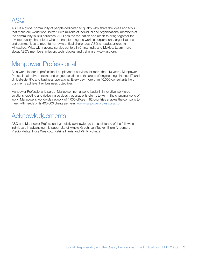## ASQ

ASQ is a global community of people dedicated to quality who share the ideas and tools that make our world work better. With millions of individual and organizational members of the community in 150 countries, ASQ has the reputation and reach to bring together the diverse quality champions who are transforming the world's corporations, organizations and communities to meet tomorrow's critical challenges. ASQ is headquartered in Milwaukee, Wis., with national service centers in China, India and Mexico. Learn more about ASQ's members, mission, technologies and training at www.asq.org.

## Manpower Professional

As a world leader in professional employment services for more than 40 years, Manpower Professional delivers talent and project solutions in the areas of engineering, finance, IT, and clinical/scientific and business operations. Every day more than 10,000 consultants help our clients achieve their business objectives.

Manpower Professional is part of Manpower Inc., a world leader in innovative workforce solutions, creating and delivering services that enable its clients to win in the changing world of work.Manpower's worldwide network of 4,000 offices in 82 countries enables the company to meet with needs of its 400,000 clients per year. www.manpowerprofessional.com

## Acknowledgements

ASQ and Manpower Professional gratefully acknowledge the assistance of the following individuals in advancing this paper: Janet Arnold-Grych, Jan Tucker, Bjørn Andersen, Pradip Mehta, Russ Westcott, Katrina Harris and Milt Krivokuca.